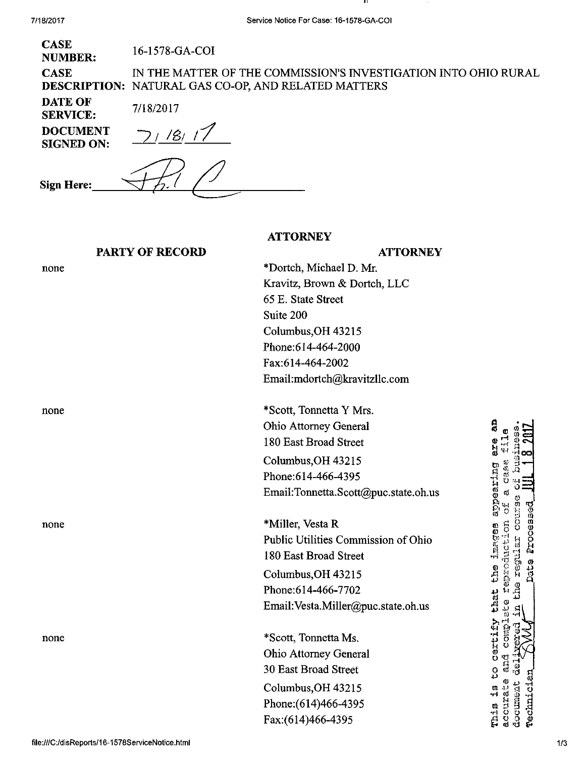none

none

none

| <b>CASE</b><br><b>NUMBER:</b>        | 16-1578-GA-COI                                                                                                                |
|--------------------------------------|-------------------------------------------------------------------------------------------------------------------------------|
| <b>CASE</b>                          | IN THE MATTER OF THE COMMISSION'S INVESTIGATION INTO OHIO RURAL<br><b>DESCRIPTION: NATURAL GAS CO-OP, AND RELATED MATTERS</b> |
| <b>DATE OF</b><br><b>SERVICE:</b>    | 7/18/2017                                                                                                                     |
| <b>DOCUMENT</b><br><b>SIGNED ON:</b> |                                                                                                                               |
| <b>Sign Here:</b>                    |                                                                                                                               |

### PARTY OF RECORD

# **ATTORNEY**

**ATTORNEY** \*Dortch, Michael D. Mr. Kravitz, Brown & Dortch, LLC 65 E. State Street Suite 200 Columbus,OH 43215 Phone:614-464-2000 Fax:614-464-2002 Email: mdortch@kravitzllc. com

none \*Scott, Tonnetta Y Mrs. Ohio Attorney General 180 East Broad Street Columbus,OH 43215 Phone:614-466-4395 Email:[Tonnetta.Scott@puc.state.oh.us](mailto:Tonnetta.Scott@puc.state.oh.us) 

> \*Miller, Vesta R Public Utilities Commission of Ohio 180 East Broad Street Columbus,OH 43215 Phone:614-466-7702

> Email:[Vesta.Miller@puc.state.oh.us](mailto:Vesta.Miller@puc.state.oh.us)

\*Scott, Tonnetta Ms. Ohio Attorney General 30 East Broad Street Columbus,OH 43215 Phone:(614)466-4395 Fax:(614)466-4395

អ្ល appearing are مبر<br>4.1 C335 ate Processes that the images **TEGLIERT** ...<br>Condicion Ą certify ESC. to<br>C mia ia document **Pechnici** activet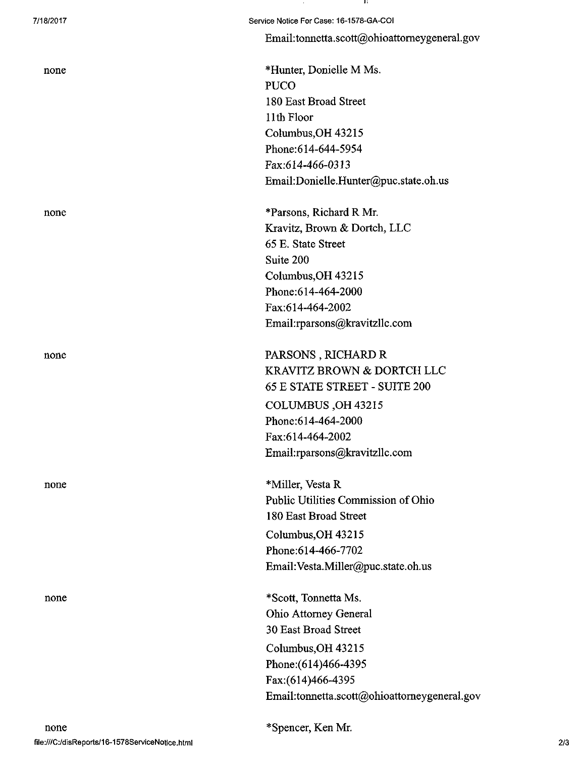| none |  |
|------|--|
|      |  |
|      |  |

Email: tonnetta. scott@ohioattomeygeneral. gov

\*Hunter, Donielle M Ms. PUCO 180 East Broad Street 11th Floor CoIumbus,OH 43215 Phone:614-644-5954 Fax:614-466-0313 Email:[Donielle.Hunter@puc.state.oh.us](mailto:Donielle.Hunter@puc.state.oh.us) 

none \*Parsons, Richard R Mr. Kravitz, Brown & Dortch, LLC 65 E. State Street Suite 200 Columbus,OH 43215 Phone:614-464-2000 Fax:614-464-2002 Email: rparsons@kravitzllc .com

none PARSONS, RICHARD R KRAVITZ BROWN & DORTCH LLC 65 E STATE STREET - SUITE 200 COLUMBUS,OH 43215 Phone:614-464-2000 Fax:614-464-2002 Email[:rparsons@kravitzllc.com](mailto:rparsons@kravitzllc.com) 

none \*Miller, Vesta R Public Utilities Commission of Ohio 180 East Broad Street Columbus,OH 43215 Phone:614-466-7702 Email:[Vesta.Miller@puc.state.oh.us](mailto:Vesta.Miller@puc.state.oh.us) 

none \*Scott, Tonnetta Ms. Ohio Attorney General 30 East Broad Street Columbus,OH 43215 Phone:(614)466-4395 Fax:(614)466-4395 Email:[tonnetta.scott@ohioattomeygeneral.gov](mailto:tonnetta.scott@ohioattomeygeneral.gov)